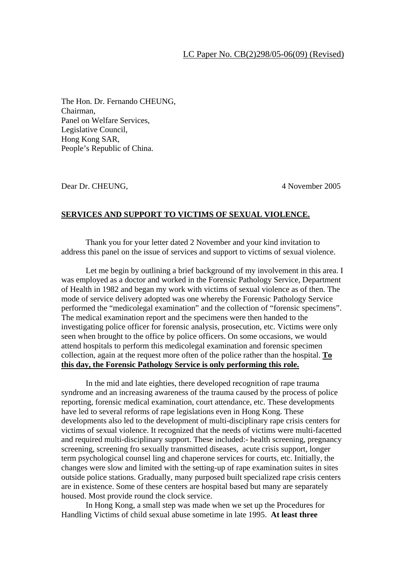## LC Paper No. CB(2)298/05-06(09) (Revised)

The Hon. Dr. Fernando CHEUNG, Chairman, Panel on Welfare Services, Legislative Council, Hong Kong SAR, People's Republic of China.

Dear Dr. CHEUNG, 4 November 2005

## **SERVICES AND SUPPORT TO VICTIMS OF SEXUAL VIOLENCE.**

Thank you for your letter dated 2 November and your kind invitation to address this panel on the issue of services and support to victims of sexual violence.

Let me begin by outlining a brief background of my involvement in this area. I was employed as a doctor and worked in the Forensic Pathology Service, Department of Health in 1982 and began my work with victims of sexual violence as of then. The mode of service delivery adopted was one whereby the Forensic Pathology Service performed the "medicolegal examination" and the collection of "forensic specimens". The medical examination report and the specimens were then handed to the investigating police officer for forensic analysis, prosecution, etc. Victims were only seen when brought to the office by police officers. On some occasions, we would attend hospitals to perform this medicolegal examination and forensic specimen collection, again at the request more often of the police rather than the hospital. **To this day, the Forensic Pathology Service is only performing this role.**

 In the mid and late eighties, there developed recognition of rape trauma syndrome and an increasing awareness of the trauma caused by the process of police reporting, forensic medical examination, court attendance, etc. These developments have led to several reforms of rape legislations even in Hong Kong. These developments also led to the development of multi-disciplinary rape crisis centers for victims of sexual violence. It recognized that the needs of victims were multi-facetted and required multi-disciplinary support. These included:- health screening, pregnancy screening, screening fro sexually transmitted diseases, acute crisis support, longer term psychological counsel ling and chaperone services for courts, etc. Initially, the changes were slow and limited with the setting-up of rape examination suites in sites outside police stations. Gradually, many purposed built specialized rape crisis centers are in existence. Some of these centers are hospital based but many are separately housed. Most provide round the clock service.

In Hong Kong, a small step was made when we set up the Procedures for Handling Victims of child sexual abuse sometime in late 1995. **At least three**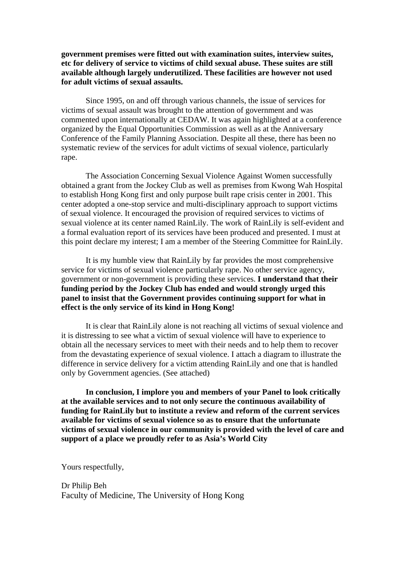**government premises were fitted out with examination suites, interview suites, etc for delivery of service to victims of child sexual abuse. These suites are still available although largely underutilized. These facilities are however not used for adult victims of sexual assaults.** 

Since 1995, on and off through various channels, the issue of services for victims of sexual assault was brought to the attention of government and was commented upon internationally at CEDAW. It was again highlighted at a conference organized by the Equal Opportunities Commission as well as at the Anniversary Conference of the Family Planning Association. Despite all these, there has been no systematic review of the services for adult victims of sexual violence, particularly rape.

 The Association Concerning Sexual Violence Against Women successfully obtained a grant from the Jockey Club as well as premises from Kwong Wah Hospital to establish Hong Kong first and only purpose built rape crisis center in 2001. This center adopted a one-stop service and multi-disciplinary approach to support victims of sexual violence. It encouraged the provision of required services to victims of sexual violence at its center named RainLily. The work of RainLily is self-evident and a formal evaluation report of its services have been produced and presented. I must at this point declare my interest; I am a member of the Steering Committee for RainLily.

 It is my humble view that RainLily by far provides the most comprehensive service for victims of sexual violence particularly rape. No other service agency, government or non-government is providing these services. **I understand that their funding period by the Jockey Club has ended and would strongly urged this panel to insist that the Government provides continuing support for what in effect is the only service of its kind in Hong Kong!** 

It is clear that RainLily alone is not reaching all victims of sexual violence and it is distressing to see what a victim of sexual violence will have to experience to obtain all the necessary services to meet with their needs and to help them to recover from the devastating experience of sexual violence. I attach a diagram to illustrate the difference in service delivery for a victim attending RainLily and one that is handled only by Government agencies. (See attached)

**In conclusion, I implore you and members of your Panel to look critically at the available services and to not only secure the continuous availability of funding for RainLily but to institute a review and reform of the current services available for victims of sexual violence so as to ensure that the unfortunate victims of sexual violence in our community is provided with the level of care and support of a place we proudly refer to as Asia's World City** 

Yours respectfully,

Dr Philip Beh Faculty of Medicine, The University of Hong Kong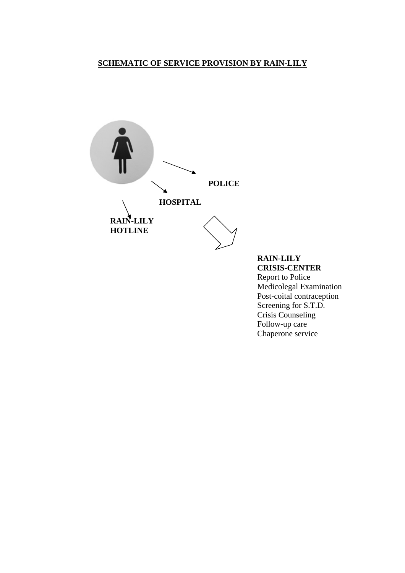## **SCHEMATIC OF SERVICE PROVISION BY RAIN-LILY**



 **RAIN-LILY CRISIS-CENTER**  Report to Police Medicolegal Examination Post-coital contraception Screening for S.T.D. Crisis Counseling Follow-up care Chaperone service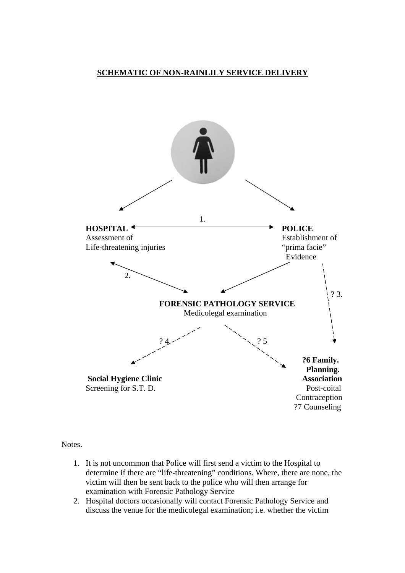## **SCHEMATIC OF NON-RAINLILY SERVICE DELIVERY**



Notes.

- 1. It is not uncommon that Police will first send a victim to the Hospital to determine if there are "life-threatening" conditions. Where, there are none, the victim will then be sent back to the police who will then arrange for examination with Forensic Pathology Service
- 2. Hospital doctors occasionally will contact Forensic Pathology Service and discuss the venue for the medicolegal examination; i.e. whether the victim